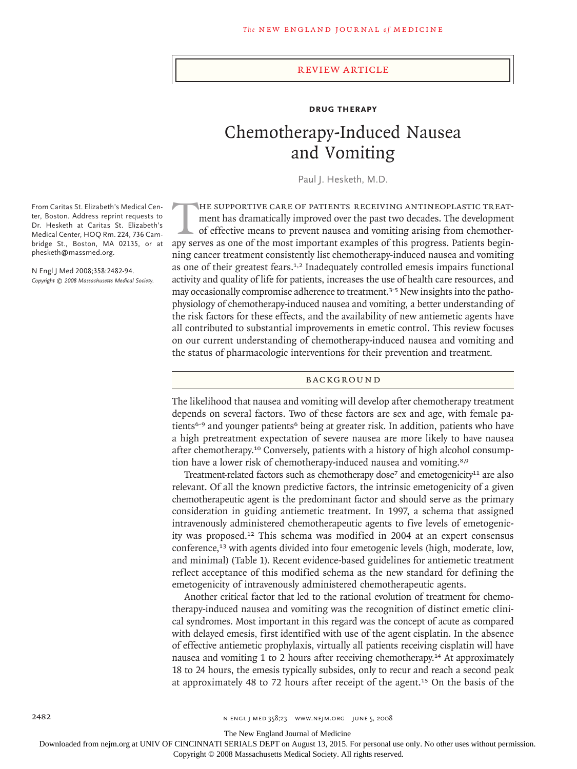#### review article

# **Drug Therapy**

# Chemotherapy-Induced Nausea and Vomiting

Paul J. Hesketh, M.D.

HE SUPPORTIVE CARE OF PATIENTS RECEIVING ANTINEOPLASTIC TREAT-<br>ment has dramatically improved over the past two decades. The development<br>of effective means to prevent nausea and vomiting arising from chemother-<br>aby serves ment has dramatically improved over the past two decades. The development of effective means to prevent nausea and vomiting arising from chemotherapy serves as one of the most important examples of this progress. Patients beginning cancer treatment consistently list chemotherapy-induced nausea and vomiting as one of their greatest fears.<sup>1,2</sup> Inadequately controlled emesis impairs functional activity and quality of life for patients, increases the use of health care resources, and may occasionally compromise adherence to treatment.<sup>3-5</sup> New insights into the pathophysiology of chemotherapy-induced nausea and vomiting, a better understanding of the risk factors for these effects, and the availability of new antiemetic agents have all contributed to substantial improvements in emetic control. This review focuses on our current understanding of chemotherapy-induced nausea and vomiting and the status of pharmacologic interventions for their prevention and treatment.

#### **BACKGROUND**

The likelihood that nausea and vomiting will develop after chemotherapy treatment depends on several factors. Two of these factors are sex and age, with female patients<sup>6-9</sup> and younger patients<sup>6</sup> being at greater risk. In addition, patients who have a high pretreatment expectation of severe nausea are more likely to have nausea after chemotherapy.10 Conversely, patients with a history of high alcohol consumption have a lower risk of chemotherapy-induced nausea and vomiting.<sup>8,9</sup>

Treatment-related factors such as chemotherapy dose<sup>7</sup> and emetogenicity<sup>11</sup> are also relevant. Of all the known predictive factors, the intrinsic emetogenicity of a given chemotherapeutic agent is the predominant factor and should serve as the primary consideration in guiding antiemetic treatment. In 1997, a schema that assigned intravenously administered chemotherapeutic agents to five levels of emetogenicity was proposed.12 This schema was modified in 2004 at an expert consensus conference,13 with agents divided into four emetogenic levels (high, moderate, low, and minimal) (Table 1). Recent evidence-based guidelines for antiemetic treatment reflect acceptance of this modified schema as the new standard for defining the emetogenicity of intravenously administered chemotherapeutic agents.

Another critical factor that led to the rational evolution of treatment for chemotherapy-induced nausea and vomiting was the recognition of distinct emetic clinical syndromes. Most important in this regard was the concept of acute as compared with delayed emesis, first identified with use of the agent cisplatin. In the absence of effective antiemetic prophylaxis, virtually all patients receiving cisplatin will have nausea and vomiting 1 to 2 hours after receiving chemotherapy.14 At approximately 18 to 24 hours, the emesis typically subsides, only to recur and reach a second peak at approximately 48 to 72 hours after receipt of the agent.15 On the basis of the

From Caritas St. Elizabeth's Medical Center, Boston. Address reprint requests to Dr. Hesketh at Caritas St. Elizabeth's Medical Center, HOQ Rm. 224, 736 Cambridge St., Boston, MA 02135, or at phesketh@massmed.org.

N Engl J Med 2008;358:2482-94. *Copyright © 2008 Massachusetts Medical Society.*

2482 2008 n ENGL | MED 358;23 WWW.NEIM.ORG | UNE 5, 2008

The New England Journal of Medicine

Downloaded from nejm.org at UNIV OF CINCINNATI SERIALS DEPT on August 13, 2015. For personal use only. No other uses without permission.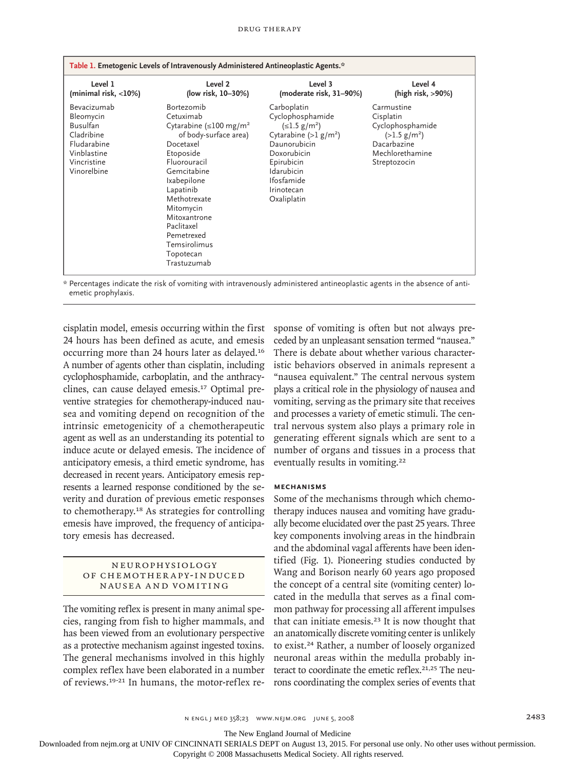#### drug ther apy

| Table 1. Emetogenic Levels of Intravenously Administered Antineoplastic Agents.*                                      |                                                                                                                                                                                                                                                                                                         |                                                                                                                                                                                                     |                                                                                                                         |  |  |  |
|-----------------------------------------------------------------------------------------------------------------------|---------------------------------------------------------------------------------------------------------------------------------------------------------------------------------------------------------------------------------------------------------------------------------------------------------|-----------------------------------------------------------------------------------------------------------------------------------------------------------------------------------------------------|-------------------------------------------------------------------------------------------------------------------------|--|--|--|
| Level 1<br>(minimal risk, <10%)                                                                                       | Level 2<br>(low risk, 10-30%)                                                                                                                                                                                                                                                                           | Level 3<br>(moderate risk, 31–90%)                                                                                                                                                                  | Level 4<br>(high risk, >90%)                                                                                            |  |  |  |
| Bevacizumab<br>Bleomycin<br><b>Busulfan</b><br>Cladribine<br>Fludarabine<br>Vinblastine<br>Vincristine<br>Vinorelbine | Bortezomib<br>Cetuximab<br>Cytarabine ( $\leq$ 100 mg/m <sup>2</sup><br>of body-surface area)<br>Docetaxel<br>Etoposide<br>Fluorouracil<br>Gemcitabine<br>Ixabepilone<br>Lapatinib<br>Methotrexate<br>Mitomycin<br>Mitoxantrone<br>Paclitaxel<br>Pemetrexed<br>Temsirolimus<br>Topotecan<br>Trastuzumab | Carboplatin<br>Cyclophosphamide<br>$(\leq1.5 \text{ g/m}^2)$<br>Cytarabine $(>l g/m2)$<br>Daunorubicin<br>Doxorubicin<br>Epirubicin<br>Idarubicin<br><b>Ifosfamide</b><br>Irinotecan<br>Oxaliplatin | Carmustine<br>Cisplatin<br>Cyclophosphamide<br>$(>1.5 \text{ g/m}^2)$<br>Dacarbazine<br>Mechlorethamine<br>Streptozocin |  |  |  |

\* Percentages indicate the risk of vomiting with intravenously administered antineoplastic agents in the absence of antiemetic prophylaxis.

cisplatin model, emesis occurring within the first 24 hours has been defined as acute, and emesis occurring more than 24 hours later as delayed.<sup>16</sup> A number of agents other than cisplatin, including cyclophosphamide, carboplatin, and the anthracyclines, can cause delayed emesis.17 Optimal preventive strategies for chemotherapy-induced nausea and vomiting depend on recognition of the intrinsic emetogenicity of a chemotherapeutic agent as well as an understanding its potential to induce acute or delayed emesis. The incidence of anticipatory emesis, a third emetic syndrome, has decreased in recent years. Anticipatory emesis represents a learned response conditioned by the severity and duration of previous emetic responses to chemotherapy.18 As strategies for controlling emesis have improved, the frequency of anticipatory emesis has decreased.

# Neuroph ysiol o gy OF CHEMOTHERAPY-INDUCED NAUSEA AND VOMITING

The vomiting reflex is present in many animal species, ranging from fish to higher mammals, and has been viewed from an evolutionary perspective as a protective mechanism against ingested toxins. The general mechanisms involved in this highly complex reflex have been elaborated in a number of reviews.19-21 In humans, the motor-reflex response of vomiting is often but not always preceded by an unpleasant sensation termed "nausea." There is debate about whether various characteristic behaviors observed in animals represent a "nausea equivalent." The central nervous system plays a critical role in the physiology of nausea and vomiting, serving as the primary site that receives and processes a variety of emetic stimuli. The central nervous system also plays a primary role in generating efferent signals which are sent to a number of organs and tissues in a process that eventually results in vomiting.<sup>22</sup>

#### **Mechanisms**

Some of the mechanisms through which chemotherapy induces nausea and vomiting have gradually become elucidated over the past 25 years. Three key components involving areas in the hindbrain and the abdominal vagal afferents have been identified (Fig. 1). Pioneering studies conducted by Wang and Borison nearly 60 years ago proposed the concept of a central site (vomiting center) located in the medulla that serves as a final common pathway for processing all afferent impulses that can initiate emesis.23 It is now thought that an anatomically discrete vomiting center is unlikely to exist.24 Rather, a number of loosely organized neuronal areas within the medulla probably interact to coordinate the emetic reflex.<sup>21,25</sup> The neurons coordinating the complex series of events that

The New England Journal of Medicine

Downloaded from nejm.org at UNIV OF CINCINNATI SERIALS DEPT on August 13, 2015. For personal use only. No other uses without permission.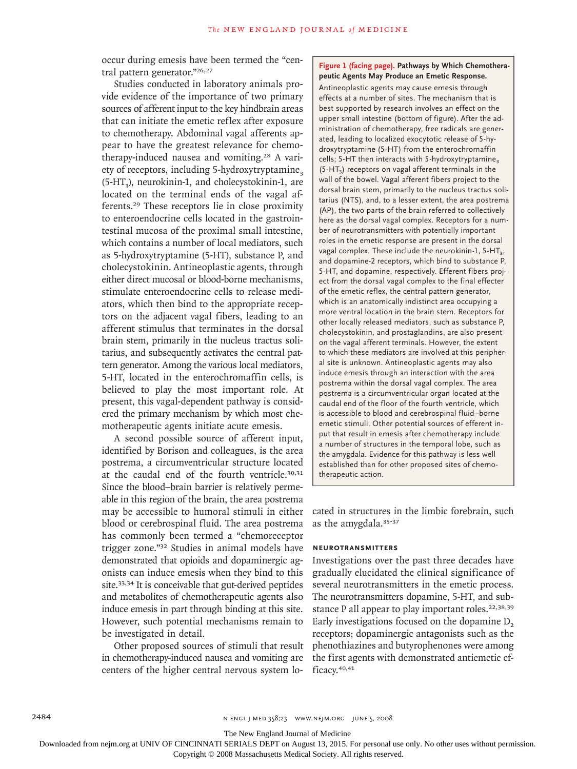occur during emesis have been termed the "central pattern generator."26,27

Studies conducted in laboratory animals provide evidence of the importance of two primary sources of afferent input to the key hindbrain areas that can initiate the emetic reflex after exposure to chemotherapy. Abdominal vagal afferents appear to have the greatest relevance for chemotherapy-induced nausea and vomiting.28 A variety of receptors, including 5-hydroxytryptamine,  $(5-HT<sub>2</sub>)$ , neurokinin-1, and cholecystokinin-1, are located on the terminal ends of the vagal afferents.29 These receptors lie in close proximity to enteroendocrine cells located in the gastrointestinal mucosa of the proximal small intestine, which contains a number of local mediators, such as 5-hydroxytryptamine (5-HT), substance P, and cholecystokinin. Antineoplastic agents, through either direct mucosal or blood-borne mechanisms, stimulate enteroendocrine cells to release mediators, which then bind to the appropriate receptors on the adjacent vagal fibers, leading to an afferent stimulus that terminates in the dorsal brain stem, primarily in the nucleus tractus solitarius, and subsequently activates the central pattern generator. Among the various local mediators, 5-HT, located in the enterochromaffin cells, is believed to play the most important role. At present, this vagal-dependent pathway is considered the primary mechanism by which most chemotherapeutic agents initiate acute emesis.

A second possible source of afferent input, identified by Borison and colleagues, is the area postrema, a circumventricular structure located at the caudal end of the fourth ventricle.30,31 Since the blood–brain barrier is relatively permeable in this region of the brain, the area postrema may be accessible to humoral stimuli in either blood or cerebrospinal fluid. The area postrema has commonly been termed a "chemoreceptor trigger zone."32 Studies in animal models have demonstrated that opioids and dopaminergic agonists can induce emesis when they bind to this site.<sup>33,34</sup> It is conceivable that gut-derived peptides and metabolites of chemotherapeutic agents also induce emesis in part through binding at this site. However, such potential mechanisms remain to be investigated in detail.

Other proposed sources of stimuli that result in chemotherapy-induced nausea and vomiting are centers of the higher central nervous system lo-

## **Figure 1 (facing page). Pathways by Which Chemotherapeutic Agents May Produce an Emetic Response.**

Antineoplastic agents may cause emesis through effects at a number of sites. The mechanism that is best supported by research involves an effect on the upper small intestine (bottom of figure). After the administration of chemotherapy, free radicals are generated, leading to localized exocytotic release of 5-hydroxytryptamine (5-HT) from the enterochromaffin cells; 5-HT then interacts with 5-hydroxytryptamine<sub>3</sub>  $(5-HT<sub>3</sub>)$  receptors on vagal afferent terminals in the wall of the bowel. Vagal afferent fibers project to the dorsal brain stem, primarily to the nucleus tractus solitarius (NTS), and, to a lesser extent, the area postrema (AP), the two parts of the brain referred to collectively here as the dorsal vagal complex. Receptors for a number of neurotransmitters with potentially important roles in the emetic response are present in the dorsal vagal complex. These include the neurokinin-1,  $5-HT<sub>3</sub>$ , and dopamine-2 receptors, which bind to substance P, 5-HT, and dopamine, respectively. Efferent fibers project from the dorsal vagal complex to the final effecter of the emetic reflex, the central pattern generator, which is an anatomically indistinct area occupying a more ventral location in the brain stem. Receptors for other locally released mediators, such as substance P, cholecystokinin, and prostaglandins, are also present on the vagal afferent terminals. However, the extent to which these mediators are involved at this peripheral site is unknown. Antineoplastic agents may also induce emesis through an interaction with the area postrema within the dorsal vagal complex. The area postrema is a circumventricular organ located at the caudal end of the floor of the fourth ventricle, which is accessible to blood and cerebrospinal fluid–borne emetic stimuli. Other potential sources of efferent input that result in emesis after chemotherapy include a number of structures in the temporal lobe, such as the amygdala. Evidence for this pathway is less well established than for other proposed sites of chemotherapeutic action.

cated in structures in the limbic forebrain, such as the amygdala.35-37

#### **Neurotransmitters**

Investigations over the past three decades have gradually elucidated the clinical significance of several neurotransmitters in the emetic process. The neurotransmitters dopamine, 5-HT, and substance P all appear to play important roles.<sup>22,38,39</sup> Early investigations focused on the dopamine  $D<sub>2</sub>$ receptors; dopaminergic antagonists such as the phenothiazines and butyrophenones were among the first agents with demonstrated antiemetic efficacy.<sup>40,41</sup>

2484 n engl j med 358;23 www.nejm.org june 5, 2008

The New England Journal of Medicine

Downloaded from nejm.org at UNIV OF CINCINNATI SERIALS DEPT on August 13, 2015. For personal use only. No other uses without permission.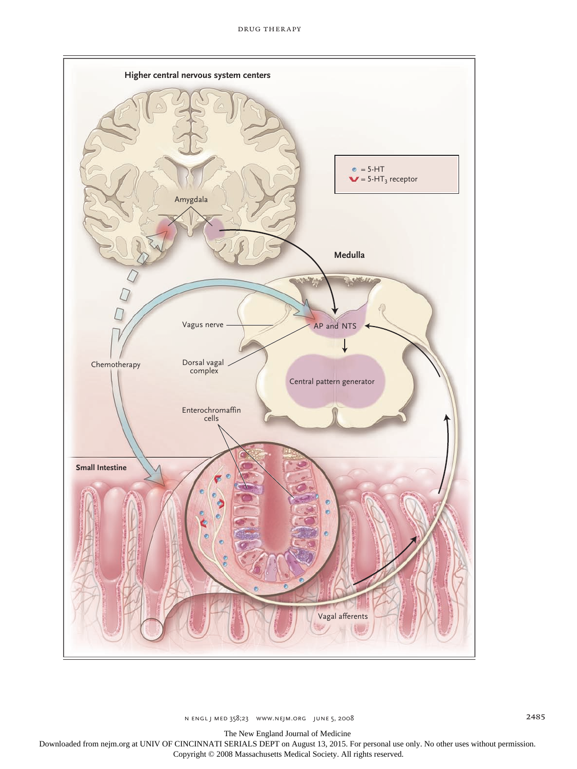

n engl j med 358;23 www.nejm.org june 5, 2008 1 2485

The New England Journal of Medicine

Ingelfinger Downloaded from nejm.org at UNIV OF CINCINNATI SERIALS DEPT on August 13, 2015. For personal use only. No other uses without permission.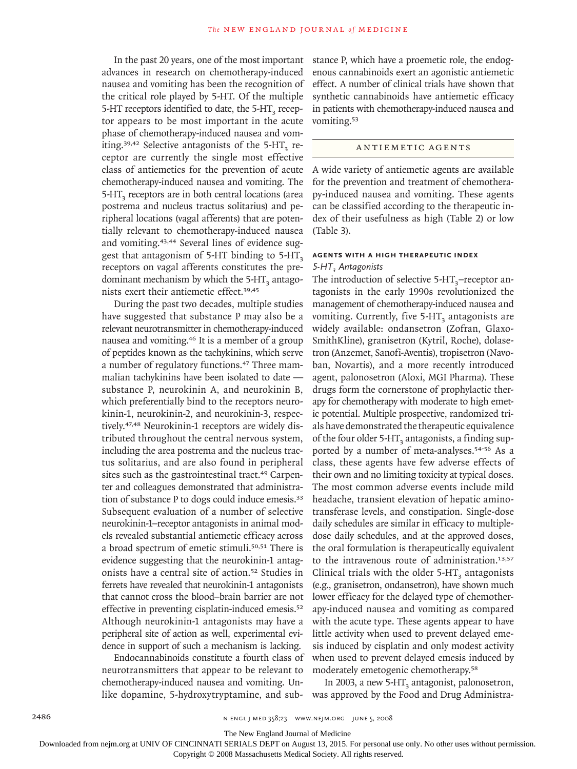In the past 20 years, one of the most important advances in research on chemotherapy-induced nausea and vomiting has been the recognition of the critical role played by 5-HT. Of the multiple 5-HT receptors identified to date, the  $5$ -HT<sub>3</sub> receptor appears to be most important in the acute phase of chemotherapy-induced nausea and vomiting.<sup>39,42</sup> Selective antagonists of the 5-HT<sub>3</sub> receptor are currently the single most effective class of antiemetics for the prevention of acute chemotherapy-induced nausea and vomiting. The  $5-HT<sub>3</sub>$  receptors are in both central locations (area postrema and nucleus tractus solitarius) and peripheral locations (vagal afferents) that are potentially relevant to chemotherapy-induced nausea and vomiting.43,44 Several lines of evidence suggest that antagonism of 5-HT binding to  $5-HT<sub>3</sub>$ receptors on vagal afferents constitutes the predominant mechanism by which the  $5-HT<sub>2</sub>$  antagonists exert their antiemetic effect.39,45

During the past two decades, multiple studies have suggested that substance P may also be a relevant neurotransmitter in chemotherapy-induced nausea and vomiting.46 It is a member of a group of peptides known as the tachykinins, which serve a number of regulatory functions.47 Three mammalian tachykinins have been isolated to date substance P, neurokinin A, and neurokinin B, which preferentially bind to the receptors neurokinin-1, neurokinin-2, and neurokinin-3, respectively.47,48 Neurokinin-1 receptors are widely distributed throughout the central nervous system, including the area postrema and the nucleus tractus solitarius, and are also found in peripheral sites such as the gastrointestinal tract.<sup>49</sup> Carpenter and colleagues demonstrated that administration of substance P to dogs could induce emesis.<sup>33</sup> Subsequent evaluation of a number of selective neurokinin-1–receptor antagonists in animal models revealed substantial antiemetic efficacy across a broad spectrum of emetic stimuli.50,51 There is evidence suggesting that the neurokinin-1 antagonists have a central site of action.52 Studies in ferrets have revealed that neurokinin-1 antagonists that cannot cross the blood–brain barrier are not effective in preventing cisplatin-induced emesis.<sup>52</sup> Although neurokinin-1 antagonists may have a peripheral site of action as well, experimental evidence in support of such a mechanism is lacking.

Endocannabinoids constitute a fourth class of neurotransmitters that appear to be relevant to chemotherapy-induced nausea and vomiting. Unlike dopamine, 5-hydroxytryptamine, and substance P, which have a proemetic role, the endogenous cannabinoids exert an agonistic antiemetic effect. A number of clinical trials have shown that synthetic cannabinoids have antiemetic efficacy in patients with chemotherapy-induced nausea and vomiting.<sup>53</sup>

# ANTIEMETIC AGENTS

A wide variety of antiemetic agents are available for the prevention and treatment of chemotherapy-induced nausea and vomiting. These agents can be classified according to the therapeutic index of their usefulness as high (Table 2) or low (Table 3).

# **Agents with a High Therapeutic Index** *5-HT3 Antagonists*

The introduction of selective  $5-HT_3$ –receptor antagonists in the early 1990s revolutionized the management of chemotherapy-induced nausea and vomiting. Currently, five 5-HT<sub>2</sub> antagonists are widely available: ondansetron (Zofran, Glaxo-SmithKline), granisetron (Kytril, Roche), dolasetron (Anzemet, Sanofi-Aventis), tropisetron (Navoban, Novartis), and a more recently introduced agent, palonosetron (Aloxi, MGI Pharma). These drugs form the cornerstone of prophylactic therapy for chemotherapy with moderate to high emetic potential. Multiple prospective, randomized trials have demonstrated the therapeutic equivalence of the four older  $5-HT_3$  antagonists, a finding supported by a number of meta-analyses.<sup>54-56</sup> As a class, these agents have few adverse effects of their own and no limiting toxicity at typical doses. The most common adverse events include mild headache, transient elevation of hepatic aminotransferase levels, and constipation. Single-dose daily schedules are similar in efficacy to multipledose daily schedules, and at the approved doses, the oral formulation is therapeutically equivalent to the intravenous route of administration.<sup>13,57</sup> Clinical trials with the older  $5-HT<sub>3</sub>$  antagonists (e.g., granisetron, ondansetron), have shown much lower efficacy for the delayed type of chemotherapy-induced nausea and vomiting as compared with the acute type. These agents appear to have little activity when used to prevent delayed emesis induced by cisplatin and only modest activity when used to prevent delayed emesis induced by moderately emetogenic chemotherapy.<sup>58</sup>

In 2003, a new 5-HT<sub>3</sub> antagonist, palonosetron, was approved by the Food and Drug Administra-

The New England Journal of Medicine

Downloaded from nejm.org at UNIV OF CINCINNATI SERIALS DEPT on August 13, 2015. For personal use only. No other uses without permission.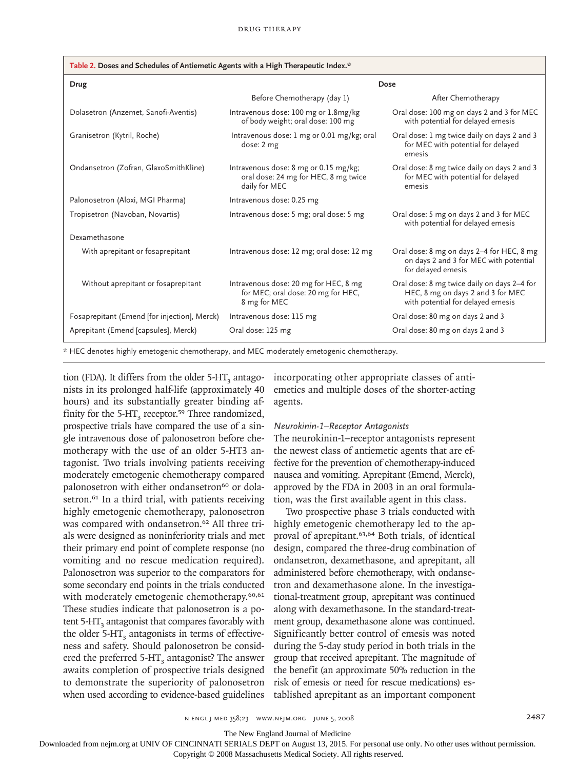| Table 2. Doses and Schedules of Antiemetic Agents with a High Therapeutic Index.*         |                                                                                                |                                                                                                                       |  |  |  |  |
|-------------------------------------------------------------------------------------------|------------------------------------------------------------------------------------------------|-----------------------------------------------------------------------------------------------------------------------|--|--|--|--|
| Drug                                                                                      | Dose                                                                                           |                                                                                                                       |  |  |  |  |
|                                                                                           | Before Chemotherapy (day 1)                                                                    | After Chemotherapy                                                                                                    |  |  |  |  |
| Dolasetron (Anzemet, Sanofi-Aventis)                                                      | Intravenous dose: 100 mg or 1.8 mg/kg<br>of body weight; oral dose: 100 mg                     | Oral dose: 100 mg on days 2 and 3 for MEC<br>with potential for delayed emesis                                        |  |  |  |  |
| Granisetron (Kytril, Roche)                                                               | Intravenous dose: 1 mg or 0.01 mg/kg; oral<br>dose: 2 mg                                       | Oral dose: 1 mg twice daily on days 2 and 3<br>for MEC with potential for delayed<br>emesis                           |  |  |  |  |
| Ondansetron (Zofran, GlaxoSmithKline)                                                     | Intravenous dose: 8 mg or 0.15 mg/kg;<br>oral dose: 24 mg for HEC, 8 mg twice<br>daily for MEC | Oral dose: 8 mg twice daily on days 2 and 3<br>for MEC with potential for delayed<br>emesis                           |  |  |  |  |
| Palonosetron (Aloxi, MGI Pharma)                                                          | Intravenous dose: 0.25 mg                                                                      |                                                                                                                       |  |  |  |  |
| Tropisetron (Navoban, Novartis)                                                           | Intravenous dose: 5 mg; oral dose: 5 mg                                                        | Oral dose: 5 mg on days 2 and 3 for MEC<br>with potential for delayed emesis                                          |  |  |  |  |
| Dexamethasone                                                                             |                                                                                                |                                                                                                                       |  |  |  |  |
| With aprepitant or fosaprepitant                                                          | Intravenous dose: 12 mg; oral dose: 12 mg                                                      | Oral dose: 8 mg on days 2-4 for HEC, 8 mg<br>on days 2 and 3 for MEC with potential<br>for delayed emesis             |  |  |  |  |
| Without aprepitant or fosaprepitant                                                       | Intravenous dose: 20 mg for HEC, 8 mg<br>for MEC; oral dose: 20 mg for HEC,<br>8 mg for MEC    | Oral dose: 8 mg twice daily on days 2-4 for<br>HEC, 8 mg on days 2 and 3 for MEC<br>with potential for delayed emesis |  |  |  |  |
| Fosaprepitant (Emend [for injection], Merck)                                              | Intravenous dose: 115 mg                                                                       | Oral dose: 80 mg on days 2 and 3                                                                                      |  |  |  |  |
| Aprepitant (Emend [capsules], Merck)                                                      | Oral dose: 125 mg                                                                              | Oral dose: 80 mg on days 2 and 3                                                                                      |  |  |  |  |
| * HEC denotes highly emetogenic chemotherapy, and MEC moderately emetogenic chemotherapy. |                                                                                                |                                                                                                                       |  |  |  |  |

tion (FDA). It differs from the older  $5-HT<sub>3</sub>$  antagonists in its prolonged half-life (approximately 40 hours) and its substantially greater binding affinity for the  $5-HT<sub>3</sub>$  receptor.<sup>59</sup> Three randomized, prospective trials have compared the use of a single intravenous dose of palonosetron before chemotherapy with the use of an older 5-HT3 antagonist. Two trials involving patients receiving moderately emetogenic chemotherapy compared palonosetron with either ondansetron<sup>60</sup> or dolasetron.<sup>61</sup> In a third trial, with patients receiving highly emetogenic chemotherapy, palonosetron was compared with ondansetron.62 All three trials were designed as noninferiority trials and met their primary end point of complete response (no vomiting and no rescue medication required). Palonosetron was superior to the comparators for some secondary end points in the trials conducted with moderately emetogenic chemotherapy.<sup>60,61</sup> These studies indicate that palonosetron is a potent  $5-HT<sub>3</sub>$  antagonist that compares favorably with the older  $5-HT<sub>3</sub>$  antagonists in terms of effectiveness and safety. Should palonosetron be considered the preferred  $5-HT<sub>3</sub>$  antagonist? The answer awaits completion of prospective trials designed to demonstrate the superiority of palonosetron when used according to evidence-based guidelines

incorporating other appropriate classes of antiemetics and multiple doses of the shorter-acting agents.

# *Neurokinin-1–Receptor Antagonists*

The neurokinin-1–receptor antagonists represent the newest class of antiemetic agents that are effective for the prevention of chemotherapy-induced nausea and vomiting. Aprepitant (Emend, Merck), approved by the FDA in 2003 in an oral formulation, was the first available agent in this class.

Two prospective phase 3 trials conducted with highly emetogenic chemotherapy led to the approval of aprepitant.63,64 Both trials, of identical design, compared the three-drug combination of ondansetron, dexamethasone, and aprepitant, all administered before chemotherapy, with ondansetron and dexamethasone alone. In the investigational-treatment group, aprepitant was continued along with dexamethasone. In the standard-treatment group, dexamethasone alone was continued. Significantly better control of emesis was noted during the 5-day study period in both trials in the group that received aprepitant. The magnitude of the benefit (an approximate 50% reduction in the risk of emesis or need for rescue medications) established aprepitant as an important component

The New England Journal of Medicine

Downloaded from nejm.org at UNIV OF CINCINNATI SERIALS DEPT on August 13, 2015. For personal use only. No other uses without permission.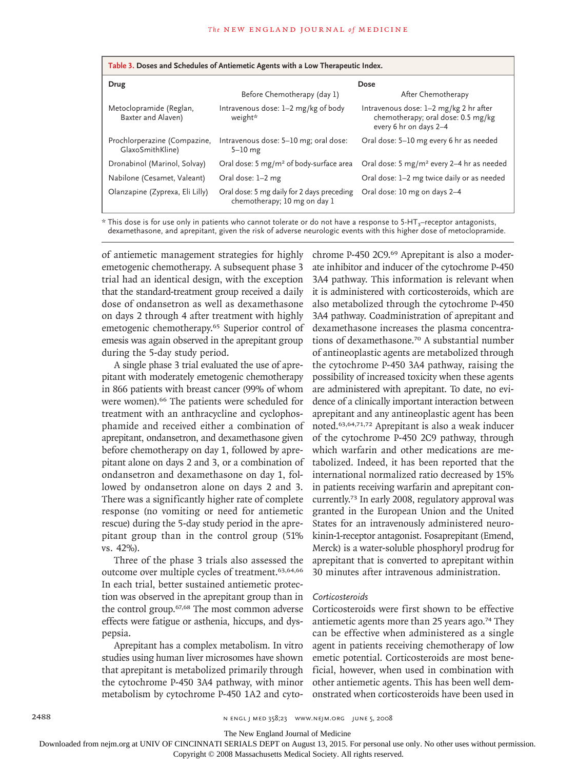| Table 3. Doses and Schedules of Antiemetic Agents with a Low Therapeutic Index. |                                                                            |                                                                                                        |  |  |  |  |
|---------------------------------------------------------------------------------|----------------------------------------------------------------------------|--------------------------------------------------------------------------------------------------------|--|--|--|--|
| Drug                                                                            | Dose                                                                       |                                                                                                        |  |  |  |  |
|                                                                                 | Before Chemotherapy (day 1)                                                | After Chemotherapy                                                                                     |  |  |  |  |
| Metoclopramide (Reglan,<br>Baxter and Alaven)                                   | Intravenous dose: 1–2 mg/kg of body<br>weight*                             | Intravenous dose: 1-2 mg/kg 2 hr after<br>chemotherapy; oral dose: 0.5 mg/kg<br>every 6 hr on days 2-4 |  |  |  |  |
| Prochlorperazine (Compazine,<br>GlaxoSmithKline)                                | Intravenous dose: 5-10 mg; oral dose:<br>$5-10$ mg                         | Oral dose: 5-10 mg every 6 hr as needed                                                                |  |  |  |  |
| Dronabinol (Marinol, Solvay)                                                    | Oral dose: 5 mg/m <sup>2</sup> of body-surface area                        | Oral dose: 5 mg/m <sup>2</sup> every 2-4 hr as needed                                                  |  |  |  |  |
| Nabilone (Cesamet, Valeant)                                                     | Oral dose: 1-2 mg                                                          | Oral dose: 1-2 mg twice daily or as needed                                                             |  |  |  |  |
| Olanzapine (Zyprexa, Eli Lilly)                                                 | Oral dose: 5 mg daily for 2 days preceding<br>chemotherapy; 10 mg on day 1 | Oral dose: 10 mg on days 2-4                                                                           |  |  |  |  |

\* This dose is for use only in patients who cannot tolerate or do not have a response to 5-HT<sub>3</sub>–receptor antagonists, dexamethasone, and aprepitant, given the risk of adverse neurologic events with this higher dose of metoclopramide.

of antiemetic management strategies for highly emetogenic chemotherapy. A subsequent phase 3 trial had an identical design, with the exception that the standard-treatment group received a daily dose of ondansetron as well as dexamethasone on days 2 through 4 after treatment with highly emetogenic chemotherapy.65 Superior control of emesis was again observed in the aprepitant group during the 5-day study period.

A single phase 3 trial evaluated the use of aprepitant with moderately emetogenic chemotherapy in 866 patients with breast cancer (99% of whom were women).<sup>66</sup> The patients were scheduled for treatment with an anthracycline and cyclophosphamide and received either a combination of aprepitant, ondansetron, and dexamethasone given before chemotherapy on day 1, followed by aprepitant alone on days 2 and 3, or a combination of ondansetron and dexamethasone on day 1, followed by ondansetron alone on days 2 and 3. There was a significantly higher rate of complete response (no vomiting or need for antiemetic rescue) during the 5-day study period in the aprepitant group than in the control group (51% vs. 42%).

Three of the phase 3 trials also assessed the outcome over multiple cycles of treatment.63,64,66 In each trial, better sustained antiemetic protection was observed in the aprepitant group than in the control group.67,68 The most common adverse effects were fatigue or asthenia, hiccups, and dyspepsia.

Aprepitant has a complex metabolism. In vitro studies using human liver microsomes have shown that aprepitant is metabolized primarily through the cytochrome P-450 3A4 pathway, with minor metabolism by cytochrome P-450 1A2 and cytochrome P-450 2C9.69 Aprepitant is also a moderate inhibitor and inducer of the cytochrome P-450 3A4 pathway. This information is relevant when it is administered with corticosteroids, which are also metabolized through the cytochrome P-450 3A4 pathway. Coadministration of aprepitant and dexamethasone increases the plasma concentrations of dexamethasone.70 A substantial number of antineoplastic agents are metabolized through the cytochrome P-450 3A4 pathway, raising the possibility of increased toxicity when these agents are administered with aprepitant. To date, no evidence of a clinically important interaction between aprepitant and any antineoplastic agent has been noted.63,64,71,72 Aprepitant is also a weak inducer of the cytochrome P-450 2C9 pathway, through which warfarin and other medications are metabolized. Indeed, it has been reported that the international normalized ratio decreased by 15% in patients receiving warfarin and aprepitant concurrently.73 In early 2008, regulatory approval was granted in the European Union and the United States for an intravenously administered neurokinin-1-receptor antagonist. Fosaprepitant (Emend, Merck) is a water-soluble phosphoryl prodrug for aprepitant that is converted to aprepitant within 30 minutes after intravenous administration.

#### *Corticosteroids*

Corticosteroids were first shown to be effective antiemetic agents more than 25 years ago.74 They can be effective when administered as a single agent in patients receiving chemotherapy of low emetic potential. Corticosteroids are most beneficial, however, when used in combination with other antiemetic agents. This has been well demonstrated when corticosteroids have been used in

2488 n engl j med 358;23 www.nejm.org june 5, 2008

The New England Journal of Medicine

Downloaded from nejm.org at UNIV OF CINCINNATI SERIALS DEPT on August 13, 2015. For personal use only. No other uses without permission.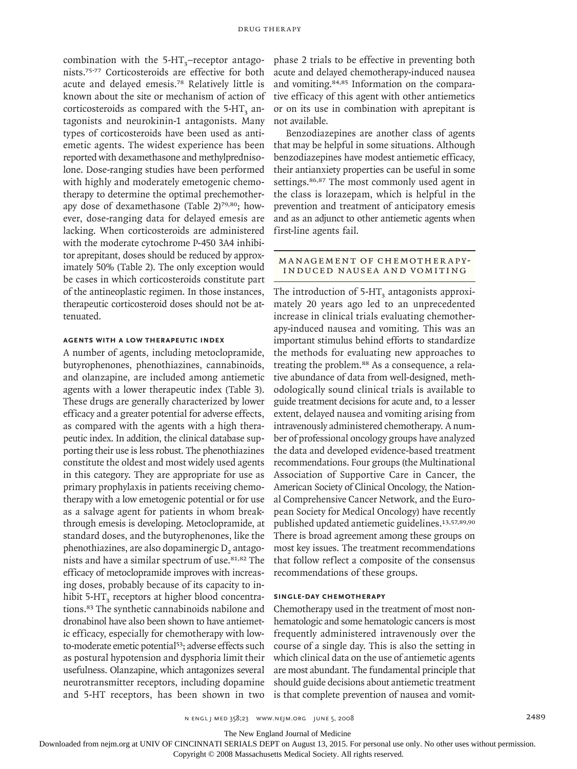combination with the  $5-HT_3$ –receptor antagonists.75-77 Corticosteroids are effective for both acute and delayed emesis.78 Relatively little is known about the site or mechanism of action of corticosteroids as compared with the  $5-HT<sub>3</sub>$  antagonists and neurokinin-1 antagonists. Many types of corticosteroids have been used as antiemetic agents. The widest experience has been reported with dexamethasone and methylprednisolone. Dose-ranging studies have been performed with highly and moderately emetogenic chemotherapy to determine the optimal prechemotherapy dose of dexamethasone (Table 2)<sup>79,80</sup>; however, dose-ranging data for delayed emesis are lacking. When corticosteroids are administered with the moderate cytochrome P-450 3A4 inhibitor aprepitant, doses should be reduced by approximately 50% (Table 2). The only exception would be cases in which corticosteroids constitute part of the antineoplastic regimen. In those instances, therapeutic corticosteroid doses should not be attenuated.

#### **Agents with a Low Therapeutic Index**

A number of agents, including metoclopramide, butyrophenones, phenothiazines, cannabinoids, and olanzapine, are included among antiemetic agents with a lower therapeutic index (Table 3). These drugs are generally characterized by lower efficacy and a greater potential for adverse effects, as compared with the agents with a high therapeutic index. In addition, the clinical database supporting their use is less robust. The phenothiazines constitute the oldest and most widely used agents in this category. They are appropriate for use as primary prophylaxis in patients receiving chemotherapy with a low emetogenic potential or for use as a salvage agent for patients in whom breakthrough emesis is developing. Metoclopramide, at standard doses, and the butyrophenones, like the phenothiazines, are also dopaminergic D<sub>2</sub> antagonists and have a similar spectrum of use.81,82 The efficacy of metoclopramide improves with increasing doses, probably because of its capacity to inhibit 5-HT<sub>2</sub> receptors at higher blood concentrations.83 The synthetic cannabinoids nabilone and dronabinol have also been shown to have antiemetic efficacy, especially for chemotherapy with lowto-moderate emetic potential<sup>53</sup>; adverse effects such as postural hypotension and dysphoria limit their usefulness. Olanzapine, which antagonizes several neurotransmitter receptors, including dopamine and 5-HT receptors, has been shown in two phase 2 trials to be effective in preventing both acute and delayed chemotherapy-induced nausea and vomiting.84,85 Information on the comparative efficacy of this agent with other antiemetics or on its use in combination with aprepitant is not available.

Benzodiazepines are another class of agents that may be helpful in some situations. Although benzodiazepines have modest antiemetic efficacy, their antianxiety properties can be useful in some settings.<sup>86,87</sup> The most commonly used agent in the class is lorazepam, which is helpful in the prevention and treatment of anticipatory emesis and as an adjunct to other antiemetic agents when first-line agents fail.

# MANAGEMENT OF CHEMOTHERAPY-INDUCED NAUSEA AND VOMITING

The introduction of  $5-HT<sub>3</sub>$  antagonists approximately 20 years ago led to an unprecedented increase in clinical trials evaluating chemotherapy-induced nausea and vomiting. This was an important stimulus behind efforts to standardize the methods for evaluating new approaches to treating the problem.88 As a consequence, a relative abundance of data from well-designed, methodologically sound clinical trials is available to guide treatment decisions for acute and, to a lesser extent, delayed nausea and vomiting arising from intravenously administered chemotherapy. A number of professional oncology groups have analyzed the data and developed evidence-based treatment recommendations. Four groups (the Multinational Association of Supportive Care in Cancer, the American Society of Clinical Oncology, the National Comprehensive Cancer Network, and the European Society for Medical Oncology) have recently published updated antiemetic guidelines.<sup>13,57,89,90</sup> There is broad agreement among these groups on most key issues. The treatment recommendations that follow reflect a composite of the consensus recommendations of these groups.

# **Single-Day Chemotherapy**

Chemotherapy used in the treatment of most nonhematologic and some hematologic cancers is most frequently administered intravenously over the course of a single day. This is also the setting in which clinical data on the use of antiemetic agents are most abundant. The fundamental principle that should guide decisions about antiemetic treatment is that complete prevention of nausea and vomit-

The New England Journal of Medicine

Downloaded from nejm.org at UNIV OF CINCINNATI SERIALS DEPT on August 13, 2015. For personal use only. No other uses without permission.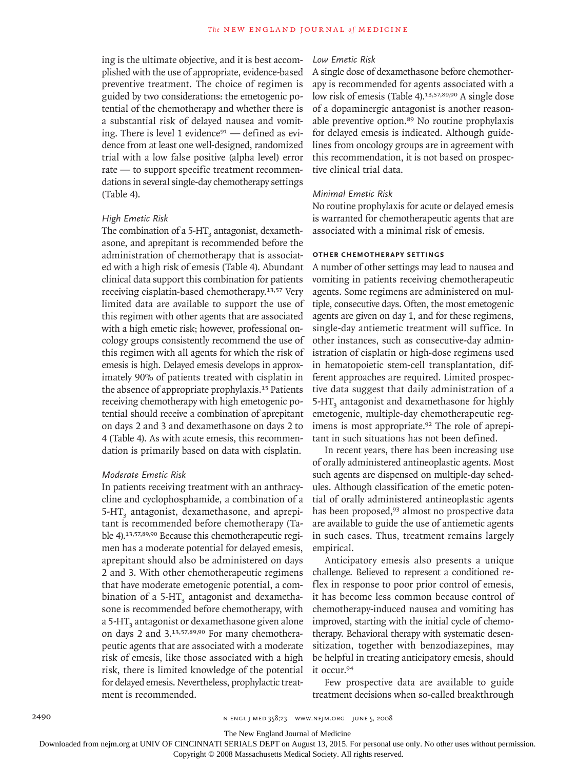ing is the ultimate objective, and it is best accomplished with the use of appropriate, evidence-based preventive treatment. The choice of regimen is guided by two considerations: the emetogenic potential of the chemotherapy and whether there is a substantial risk of delayed nausea and vomiting. There is level 1 evidence<sup>91</sup> - defined as evidence from at least one well-designed, randomized trial with a low false positive (alpha level) error rate — to support specific treatment recommendations in several single-day chemotherapy settings (Table 4).

# *High Emetic Risk*

The combination of a 5-HT<sub>3</sub> antagonist, dexamethasone, and aprepitant is recommended before the administration of chemotherapy that is associated with a high risk of emesis (Table 4). Abundant clinical data support this combination for patients receiving cisplatin-based chemotherapy.13,57 Very limited data are available to support the use of this regimen with other agents that are associated with a high emetic risk; however, professional oncology groups consistently recommend the use of this regimen with all agents for which the risk of emesis is high. Delayed emesis develops in approximately 90% of patients treated with cisplatin in the absence of appropriate prophylaxis.15 Patients receiving chemotherapy with high emetogenic potential should receive a combination of aprepitant on days 2 and 3 and dexamethasone on days 2 to 4 (Table 4). As with acute emesis, this recommendation is primarily based on data with cisplatin.

# *Moderate Emetic Risk*

In patients receiving treatment with an anthracycline and cyclophosphamide, a combination of a 5-HT<sub>3</sub> antagonist, dexamethasone, and aprepitant is recommended before chemotherapy (Table 4).13,57,89,90 Because this chemotherapeutic regimen has a moderate potential for delayed emesis, aprepitant should also be administered on days 2 and 3. With other chemotherapeutic regimens that have moderate emetogenic potential, a combination of a  $5-HT<sub>3</sub>$  antagonist and dexamethasone is recommended before chemotherapy, with a 5-HT<sub>3</sub> antagonist or dexamethasone given alone on days 2 and 3.13,57,89,90 For many chemotherapeutic agents that are associated with a moderate risk of emesis, like those associated with a high risk, there is limited knowledge of the potential for delayed emesis. Nevertheless, prophylactic treatment is recommended.

#### *Low Emetic Risk*

A single dose of dexamethasone before chemotherapy is recommended for agents associated with a low risk of emesis (Table 4).<sup>13,57,89,90</sup> A single dose of a dopaminergic antagonist is another reasonable preventive option.<sup>89</sup> No routine prophylaxis for delayed emesis is indicated. Although guidelines from oncology groups are in agreement with this recommendation, it is not based on prospective clinical trial data.

#### *Minimal Emetic Risk*

No routine prophylaxis for acute or delayed emesis is warranted for chemotherapeutic agents that are associated with a minimal risk of emesis.

# **Other Chemotherapy Settings**

A number of other settings may lead to nausea and vomiting in patients receiving chemotherapeutic agents. Some regimens are administered on multiple, consecutive days. Often, the most emetogenic agents are given on day 1, and for these regimens, single-day antiemetic treatment will suffice. In other instances, such as consecutive-day administration of cisplatin or high-dose regimens used in hematopoietic stem-cell transplantation, different approaches are required. Limited prospective data suggest that daily administration of a 5-HT<sub>2</sub> antagonist and dexamethasone for highly emetogenic, multiple-day chemotherapeutic regimens is most appropriate.<sup>92</sup> The role of aprepitant in such situations has not been defined.

In recent years, there has been increasing use of orally administered antineoplastic agents. Most such agents are dispensed on multiple-day schedules. Although classification of the emetic potential of orally administered antineoplastic agents has been proposed,<sup>93</sup> almost no prospective data are available to guide the use of antiemetic agents in such cases. Thus, treatment remains largely empirical.

Anticipatory emesis also presents a unique challenge. Believed to represent a conditioned reflex in response to poor prior control of emesis, it has become less common because control of chemotherapy-induced nausea and vomiting has improved, starting with the initial cycle of chemotherapy. Behavioral therapy with systematic desensitization, together with benzodiazepines, may be helpful in treating anticipatory emesis, should it occur.<sup>94</sup>

Few prospective data are available to guide treatment decisions when so-called breakthrough

The New England Journal of Medicine

Downloaded from nejm.org at UNIV OF CINCINNATI SERIALS DEPT on August 13, 2015. For personal use only. No other uses without permission.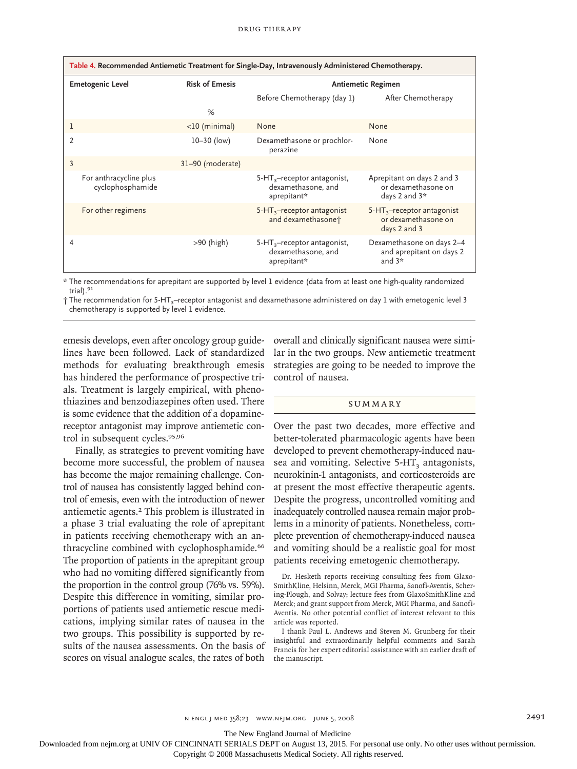| Table 4. Recommended Antiemetic Treatment for Single-Day, Intravenously Administered Chemotherapy. |                                            |                       |                                                                       |                                                                      |  |  |
|----------------------------------------------------------------------------------------------------|--------------------------------------------|-----------------------|-----------------------------------------------------------------------|----------------------------------------------------------------------|--|--|
| <b>Emetogenic Level</b>                                                                            |                                            | <b>Risk of Emesis</b> | Antiemetic Regimen                                                    |                                                                      |  |  |
|                                                                                                    |                                            | %                     | Before Chemotherapy (day 1)                                           | After Chemotherapy                                                   |  |  |
| 1                                                                                                  |                                            | $<$ 10 (minimal)      | None                                                                  | None                                                                 |  |  |
| $\overline{2}$                                                                                     |                                            | $10 - 30$ (low)       | Dexamethasone or prochlor-<br>perazine                                | None                                                                 |  |  |
| 3                                                                                                  |                                            | 31-90 (moderate)      |                                                                       |                                                                      |  |  |
|                                                                                                    | For anthracycline plus<br>cyclophosphamide |                       | $5-HT_{3}$ -receptor antagonist,<br>dexamethasone, and<br>aprepitant* | Aprepitant on days 2 and 3<br>or dexamethasone on<br>days 2 and $3*$ |  |  |
|                                                                                                    | For other regimens                         |                       | $5-HT_3$ -receptor antagonist<br>and dexamethasone <sup>+</sup>       | $5-HT_3$ -receptor antagonist<br>or dexamethasone on<br>days 2 and 3 |  |  |
| 4                                                                                                  |                                            | $>90$ (high)          | $5-HT_{3}$ -receptor antagonist,<br>dexamethasone, and<br>aprepitant* | Dexamethasone on days 2-4<br>and aprepitant on days 2<br>and $3*$    |  |  |

\* The recommendations for aprepitant are supported by level 1 evidence (data from at least one high-quality randomized trial).<sup>91</sup>

† The recommendation for 5-HT3–receptor antagonist and dexamethasone administered on day 1 with emetogenic level 3 chemotherapy is supported by level 1 evidence.

emesis develops, even after oncology group guidelines have been followed. Lack of standardized methods for evaluating breakthrough emesis has hindered the performance of prospective trials. Treatment is largely empirical, with phenothiazines and benzodiazepines often used. There is some evidence that the addition of a dopaminereceptor antagonist may improve antiemetic control in subsequent cycles.95,96

Finally, as strategies to prevent vomiting have become more successful, the problem of nausea has become the major remaining challenge. Control of nausea has consistently lagged behind control of emesis, even with the introduction of newer antiemetic agents.2 This problem is illustrated in a phase 3 trial evaluating the role of aprepitant in patients receiving chemotherapy with an anthracycline combined with cyclophosphamide.<sup>66</sup> The proportion of patients in the aprepitant group who had no vomiting differed significantly from the proportion in the control group (76% vs. 59%). Despite this difference in vomiting, similar proportions of patients used antiemetic rescue medications, implying similar rates of nausea in the two groups. This possibility is supported by results of the nausea assessments. On the basis of scores on visual analogue scales, the rates of both overall and clinically significant nausea were similar in the two groups. New antiemetic treatment strategies are going to be needed to improve the control of nausea.

#### **SUMMARY**

Over the past two decades, more effective and better-tolerated pharmacologic agents have been developed to prevent chemotherapy-induced nausea and vomiting. Selective  $5-HT<sub>3</sub>$  antagonists, neurokinin-1 antagonists, and corticosteroids are at present the most effective therapeutic agents. Despite the progress, uncontrolled vomiting and inadequately controlled nausea remain major problems in a minority of patients. Nonetheless, complete prevention of chemotherapy-induced nausea and vomiting should be a realistic goal for most patients receiving emetogenic chemotherapy.

I thank Paul L. Andrews and Steven M. Grunberg for their insightful and extraordinarily helpful comments and Sarah Francis for her expert editorial assistance with an earlier draft of the manuscript.

The New England Journal of Medicine

Downloaded from nejm.org at UNIV OF CINCINNATI SERIALS DEPT on August 13, 2015. For personal use only. No other uses without permission.

Dr. Hesketh reports receiving consulting fees from Glaxo-SmithKline, Helsinn, Merck, MGI Pharma, Sanofi-Aventis, Schering-Plough, and Solvay; lecture fees from GlaxoSmithKline and Merck; and grant support from Merck, MGI Pharma, and Sanofi-Aventis. No other potential conflict of interest relevant to this article was reported.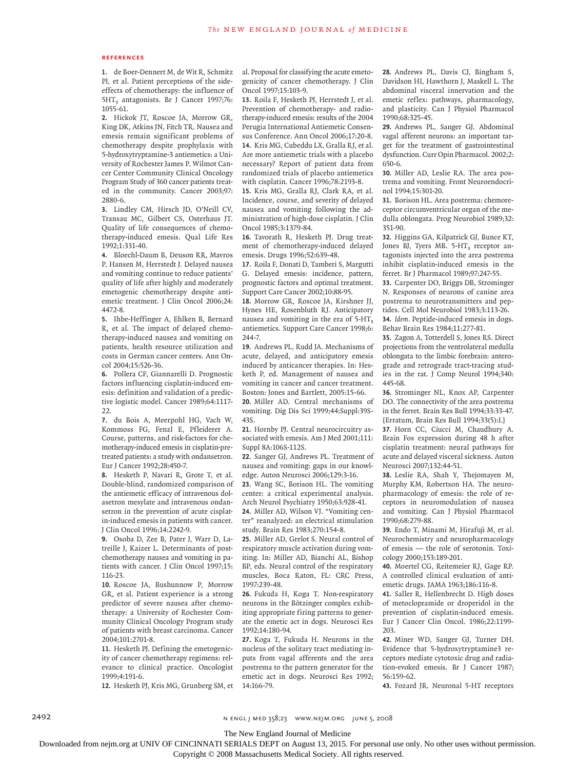#### **References**

1. de Boer-Dennert M, de Wit R, Schmitz PI, et al. Patient perceptions of the sideeffects of chemotherapy: the influence of 5HT<sub>3</sub> antagonists. Br J Cancer 1997;76: 1055-61.

2. Hickok JT, Roscoe JA, Morrow GR, King DK, Atkins JN, Fitch TR. Nausea and emesis remain significant problems of chemotherapy despite prophylaxis with 5-hydroxytryptamine-3 antiemetics: a University of Rochester James P. Wilmot Cancer Center Community Clinical Oncology Program Study of 360 cancer patients treated in the community. Cancer 2003;97: 2880-6.

Lindley CM, Hirsch JD, O'Neill CV, **3.** Transau MC, Gilbert CS, Osterhaus JT. Quality of life consequences of chemotherapy-induced emesis. Qual Life Res 1992;1:331-40.

Bloechl-Daum B, Deuson RR, Mavros **4.** P, Hansen M, Herrstedt J. Delayed nausea and vomiting continue to reduce patients' quality of life after highly and moderately emetogenic chemotherapy despite antiemetic treatment. J Clin Oncol 2006;24: 4472-8.

Ihbe-Heffinger A, Ehlken B, Bernard **5.** R, et al. The impact of delayed chemotherapy-induced nausea and vomiting on patients, health resource utilization and costs in German cancer centers. Ann Oncol 2004;15:526-36.

Pollera CF, Giannarelli D. Prognostic **6.** factors influencing cisplatin-induced emesis: definition and validation of a predictive logistic model. Cancer 1989;64:1117-  $22.$ 

7. du Bois A, Meerpohl HG, Vach W, Kommoss FG, Fenzl E, Pfleiderer A. Course, patterns, and risk-factors for chemotherapy-induced emesis in cisplatin-pretreated patients: a study with ondansetron. Eur J Cancer 1992;28:450-7.

Hesketh P, Navari R, Grote T, et al. **8.** Double-blind, randomized comparison of the antiemetic efficacy of intravenous dolasetron mesylate and intravenous ondansetron in the prevention of acute cisplatin-induced emesis in patients with cancer. J Clin Oncol 1996;14:2242-9.

9. Osoba D, Zee B, Pater J, Warr D, Latreille J, Kaizer L. Determinants of postchemotherapy nausea and vomiting in patients with cancer. J Clin Oncol 1997;15: 116-23.

10. Roscoe JA, Bushunnow P, Morrow GR, et al. Patient experience is a strong predictor of severe nausea after chemotherapy: a University of Rochester Community Clinical Oncology Program study of patients with breast carcinoma. Cancer 2004;101:2701-8.

11. Hesketh PJ. Defining the emetogenicity of cancer chemotherapy regimens: relevance to clinical practice. Oncologist 1999;4:191-6.

12. Hesketh PJ, Kris MG, Grunberg SM, et

al. Proposal for classifying the acute emetogenicity of cancer chemotherapy. J Clin Oncol 1997;15:103-9.

13. Roila F, Hesketh PJ, Herrstedt J, et al. Prevention of chemotherapy- and radiotherapy-induced emesis: results of the 2004 Perugia International Antiemetic Consensus Conference. Ann Oncol 2006;17:20-8. 14. Kris MG, Cubeddu LX, Gralla RJ, et al. Are more antiemetic trials with a placebo necessary? Report of patient data from randomized trials of placebo antiemetics with cisplatin. Cancer 1996;78:2193-8.

15. Kris MG, Gralla RJ, Clark RA, et al. Incidence, course, and severity of delayed nausea and vomiting following the administration of high-dose cisplatin. J Clin Oncol 1985;3:1379-84.

16. Tavorath R, Hesketh PJ. Drug treatment of chemotherapy-induced delayed emesis. Drugs 1996;52:639-48.

17. Roila F, Donati D, Tamberi S, Margutti G. Delayed emesis: incidence, pattern, prognostic factors and optimal treatment. Support Care Cancer 2002;10:88-95.

18. Morrow GR, Roscoe JA, Kirshner JJ, Hynes HE, Rosenbluth RJ. Anticipatory nausea and vomiting in the era of  $5-HT<sub>3</sub>$ antiemetics. Support Care Cancer 1998;6: 244-7.

19. Andrews PL, Rudd JA. Mechanisms of acute, delayed, and anticipatory emesis induced by anticancer therapies. In: Hesketh P, ed. Management of nausea and vomiting in cancer and cancer treatment. Boston: Jones and Bartlett, 2005:15-66.

20. Miller AD. Central mechanisms of vomiting. Dig Dis Sci 1999;44:Suppl:39S-43S.

21. Hornby PJ. Central neurocircuitry associated with emesis. Am J Med 2001;111: Suppl 8A:106S-112S.

22. Sanger GJ, Andrews PL. Treatment of nausea and vomiting: gaps in our knowledge. Auton Neurosci 2006;129:3-16.

Wang SC, Borison HL. The vomiting **23.** center: a critical experimental analysis. Arch Neurol Psychiatry 1950;63:928-41.

24. Miller AD, Wilson VJ. "Vomiting center" reanalyzed: an electrical stimulation study. Brain Res 1983;270:154-8.

25. Miller AD, Grelot S. Neural control of respiratory muscle activation during vomiting. In: Miller AD, Bianchi AL, Bishop BP, eds. Neural control of the respiratory muscles, Boca Raton, FL: CRC Press, 1997:239-48.

26. Fukuda H, Koga T. Non-respiratory neurons in the Bötzinger complex exhibiting appropriate firing patterns to generate the emetic act in dogs. Neurosci Res 1992;14:180-94.

27. Koga T, Fukuda H. Neurons in the nucleus of the solitary tract mediating inputs from vagal afferents and the area postrema to the pattern generator for the emetic act in dogs. Neurosci Res 1992; 14:166-79.

Andrews PL, Davis CJ, Bingham S, **28.** Davidson HI, Hawthorn J, Maskell L. The abdominal visceral innervation and the emetic reflex: pathways, pharmacology, and plasticity. Can J Physiol Pharmacol 1990;68:325-45.

Andrews PL, Sanger GJ. Abdominal **29.** vagal afferent neurons: an important target for the treatment of gastrointestinal dysfunction. Curr Opin Pharmacol. 2002;2: 650-6.

30. Miller AD, Leslie RA. The area postrema and vomiting. Front Neuroendocrinol 1994;15:301-20.

31. Borison HL. Area postrema: chemoreceptor circumventricular organ of the medulla oblongata. Prog Neurobiol 1989;32: 351-90.

32. Higgins GA, Kilpatrick GJ, Bunce KT, Jones BJ, Tyers MB. 5-HT<sub>3</sub> receptor antagonists injected into the area postrema inhibit cisplatin-induced emesis in the ferret. Br J Pharmacol 1989;97:247-55.

33. Carpenter DO, Briggs DB, Strominger N. Responses of neurons of canine area postrema to neurotransmitters and peptides. Cell Mol Neurobiol 1983;3:113-26. *Idem.* Peptide-induced emesis in dogs. **34.**

Behav Brain Res 1984;11:277-81.

35. Zagon A, Totterdell S, Jones RS. Direct projections from the ventrolateral medulla oblongata to the limbic forebrain: anterograde and retrograde tract-tracing studies in the rat. J Comp Neurol 1994;340: 445-68.

36. Strominger NL, Knox AP, Carpenter DO. The connectivity of the area postrema in the ferret. Brain Res Bull 1994;33:33-47. [Erratum, Brain Res Bull 1994;33(5):I.]

37. Horn CC, Ciucci M, Chaudhury A. Brain Fos expression during 48 h after cisplatin treatment: neural pathways for acute and delayed visceral sickness. Auton Neurosci 2007;132:44-51.

38. Leslie RA, Shah Y, Thejomayen M, Murphy KM, Robertson HA. The neuropharmacology of emesis: the role of receptors in neuromodulation of nausea and vomiting. Can J Physiol Pharmacol 1990;68:279-88.

Endo T, Minami M, Hirafuji M, et al. **39.** Neurochemistry and neuropharmacology of emesis — the role of serotonin. Toxicology 2000;153:189-201.

40. Moertel CG, Reitemeier RJ, Gage RP. A controlled clinical evaluation of antiemetic drugs. JAMA 1963;186:116-8.

41. Saller R, Hellenbrecht D. High doses of metoclopramide or droperidol in the prevention of cisplatin-induced emesis. Eur J Cancer Clin Oncol. 1986;22:1199- 203.

42. Miner WD, Sanger GJ, Turner DH. Evidence that 5-hydroxytryptamine3 receptors mediate cytotoxic drug and radiation-evoked emesis. Br J Cancer 1987; 56:159-62.

43. Fozard JR. Neuronal 5-HT receptors

2492 n engl j med 358;23 www.nejm.org june 5, 2008

The New England Journal of Medicine

Downloaded from nejm.org at UNIV OF CINCINNATI SERIALS DEPT on August 13, 2015. For personal use only. No other uses without permission.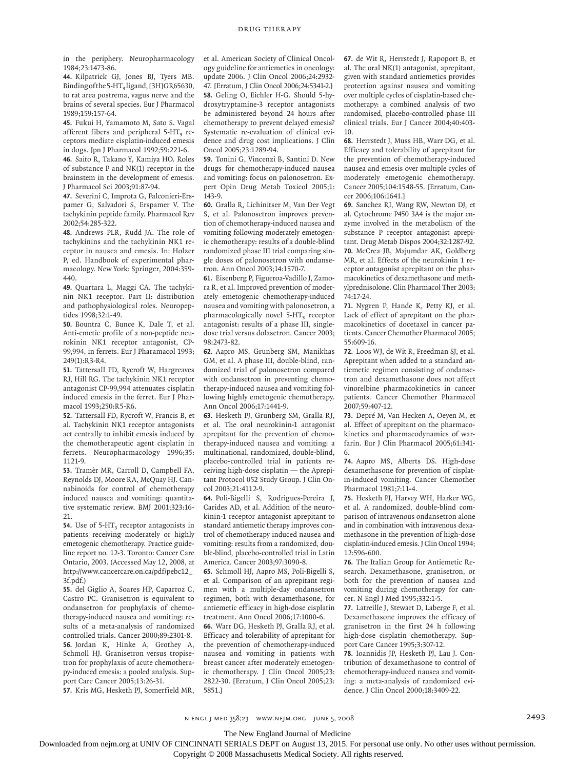in the periphery. Neuropharmacology 1984;23:1473-86.

44. Kilpatrick GJ, Jones BJ, Tyers MB. Binding of the 5-HT<sub>3</sub> ligand, [3H]GR65630, to rat area postrema, vagus nerve and the brains of several species. Eur J Pharmacol 1989;159:157-64.

Fukui H, Yamamoto M, Sato S. Vagal **45.** afferent fibers and peripheral 5-HT<sub>3</sub> receptors mediate cisplatin-induced emesis in dogs. Jpn J Pharmacol 1992;59:221-6.

46. Saito R, Takano Y, Kamiya HO. Roles of substance P and NK(1) receptor in the brainstem in the development of emesis. J Pharmacol Sci 2003;91:87-94.

47. Severini C, Improta G, Falconieri-Erspamer G, Salvadori S, Erspamer V. The tachykinin peptide family. Pharmacol Rev 2002;54:285-322.

Andrews PLR, Rudd JA. The role of **48.** tachykinins and the tachykinin NK1 receptor in nausea and emesis. In: Holzer P, ed. Handbook of experimental pharmacology. New York: Springer, 2004:359- 440.

Quartara L, Maggi CA. The tachyki-**49.** nin NK1 receptor. Part II: distribution and pathophysiological roles. Neuropeptides 1998;32:1-49.

Bountra C, Bunce K, Dale T, et al. **50.** Anti-emetic profile of a non-peptide neurokinin NK1 receptor antagonist, CP-99,994, in ferrets. Eur J Pharamacol 1993; 249(1):R3-R4.

**51.** Tattersall FD, Rycroft W, Hargreaves RJ, Hill RG. The tachykinin NK1 receptor antagonist CP-99,994 attenuates cisplatin induced emesis in the ferret. Eur J Pharmacol 1993;250:R5-R6.

**52.** Tattersall FD, Rycroft W, Francis B, et al. Tachykinin NK1 receptor antagonists act centrally to inhibit emesis induced by the chemotherapeutic agent cisplatin in ferrets. Neuropharmacology 1996;35: 1121-9.

53. Tramèr MR, Carroll D, Campbell FA, Reynolds DJ, Moore RA, McQuay HJ. Cannabinoids for control of chemotherapy induced nausea and vomiting: quantitative systematic review. BMJ 2001;323:16- 21.

**54.** Use of 5-HT<sub>3</sub> receptor antagonists in patients receiving moderately or highly emetogenic chemotherapy. Practice guideline report no. 12-3. Toronto: Cancer Care Ontario, 2003. (Accessed May 12, 2008, at http://www.cancercare.on.ca/pdf/pebc12\_ 3f.pdf.)

55. del Giglio A, Soares HP, Caparroz C, Castro PC. Granisetron is equivalent to ondansetron for prophylaxis of chemotherapy-induced nausea and vomiting: results of a meta-analysis of randomized controlled trials. Cancer 2000;89:2301-8. **56.** Jordan K, Hinke A, Grothey A, Schmoll HJ. Granisetron versus tropisetron for prophylaxis of acute chemotherapy-induced emesis: a pooled analysis. Support Care Cancer 2005;13:26-31.

57. Kris MG, Hesketh PJ, Somerfield MR,

et al. American Society of Clinical Oncology guideline for antiemetics in oncology: update 2006. J Clin Oncol 2006;24:2932- 47. [Erratum, J Clin Oncol 2006;24:5341-2.] Geling O, Eichler H-G. Should 5-hy-**58.** droxytryptamine-3 receptor antagonists be administered beyond 24 hours after chemotherapy to prevent delayed emesis? Systematic re-evaluation of clinical evidence and drug cost implications. J Clin Oncol 2005;23:1289-94.

**59.** Tonini G, Vincenzi B, Santini D. New drugs for chemotherapy-induced nausea and vomiting: focus on palonosetron. Expert Opin Drug Metab Toxicol 2005;1: 143-9.

Gralla R, Lichinitser M, Van Der Vegt **60.** S, et al. Palonosetron improves prevention of chemotherapy-induced nausea and vomiting following moderately emetogenic chemotherapy: results of a double-blind randomized phase III trial comparing single doses of palonosetron with ondansetron. Ann Oncol 2003;14:1570-7.

Eisenberg P, Figueroa-Vadillo J, Zamo-**61.** ra R, et al. Improved prevention of moderately emetogenic chemotherapy-induced nausea and vomiting with palonosetron, a pharmacologically novel 5-HT<sub>3</sub> receptor antagonist: results of a phase III, singledose trial versus dolasetron. Cancer 2003; 98:2473-82.

Aapro MS, Grunberg SM, Manikhas **62.** GM, et al. A phase III, double-blind, randomized trial of palonosetron compared with ondansetron in preventing chemotherapy-induced nausea and vomiting following highly emetogenic chemotherapy. Ann Oncol 2006;17:1441-9.

Hesketh PJ, Grunberg SM, Gralla RJ, **63.** et al. The oral neurokinin-1 antagonist aprepitant for the prevention of chemotherapy-induced nausea and vomiting: a multinational, randomized, double-blind, placebo-controlled trial in patients receiving high-dose cisplatin — the Aprepitant Protocol 052 Study Group. J Clin Oncol 2003;21:4112-9.

Poli-Bigelli S, Rodrigues-Pereira J, **64.** Carides AD, et al. Addition of the neurokinin-1 receptor antagonist aprepitant to standard antiemetic therapy improves control of chemotherapy induced nausea and vomiting: results from a randomized, double-blind, placebo-controlled trial in Latin America. Cancer 2003;97:3090-8.

Schmoll HJ, Aapro MS, Poli-Bigelli S, **65.** et al. Comparison of an aprepitant regimen with a multiple-day ondansetron regimen, both with dexamethasone, for antiemetic efficacy in high-dose cisplatin treatment. Ann Oncol 2006;17:1000-6.

Warr DG, Hesketh PJ, Gralla RJ, et al. **66.** Efficacy and tolerability of aprepitant for the prevention of chemotherapy-induced nausea and vomiting in patients with breast cancer after moderately emetogenic chemotherapy. J Clin Oncol 2005;23: 2822-30. [Erratum, J Clin Oncol 2005;23: 5851.]

**67.** de Wit R, Herrstedt J, Rapoport B, et al. The oral NK(1) antagonist, aprepitant, given with standard antiemetics provides protection against nausea and vomiting over multiple cycles of cisplatin-based chemotherapy: a combined analysis of two randomised, placebo-controlled phase III clinical trials. Eur J Cancer 2004;40:403- 10.

Herrstedt J, Muss HB, Warr DG, et al. **68.** Efficacy and tolerability of aprepitant for the prevention of chemotherapy-induced nausea and emesis over multiple cycles of moderately emetogenic chemotherapy. Cancer 2005;104:1548-55. [Erratum, Cancer 2006;106:1641.]

Sanchez RI, Wang RW, Newton DJ, et **69.** al. Cytochrome P450 3A4 is the major enzyme involved in the metabolism of the substance P receptor antagonist aprepitant. Drug Metab Dispos 2004;32:1287-92. **70.** McCrea JB, Majumdar AK, Goldberg MR, et al. Effects of the neurokinin 1 receptor antagonist aprepitant on the pharmacokinetics of dexamethasone and methylprednisolone. Clin Pharmacol Ther 2003; 74:17-24.

**71.** Nygren P, Hande K, Petty KJ, et al. Lack of effect of aprepitant on the pharmacokinetics of docetaxel in cancer patients. Cancer Chemother Pharmacol 2005; 55:609-16.

Loos WJ, de Wit R, Freedman SJ, et al. **72.** Aprepitant when added to a standard antiemetic regimen consisting of ondansetron and dexamethasone does not affect vinorelbine pharmacokinetics in cancer patients. Cancer Chemother Pharmacol 2007;59:407-12.

**73.** Depré M, Van Hecken A, Oeyen M, et al. Effect of aprepitant on the pharmacokinetics and pharmacodynamics of warfarin. Eur J Clin Pharmacol 2005;61:341- 6.

Aapro MS, Alberts DS. High-dose **74.** dexamethasone for prevention of cisplatin-induced vomiting. Cancer Chemother Pharmacol 1981;7:11-4.

**75.** Hesketh PJ, Harvey WH, Harker WG, et al. A randomized, double-blind comparison of intravenous ondansetron alone and in combination with intravenous dexamethasone in the prevention of high-dose cisplatin-induced emesis. J Clin Oncol 1994; 12:596-600.

The Italian Group for Antiemetic Re-**76.** search. Dexamethasone, granisetron, or both for the prevention of nausea and vomiting during chemotherapy for cancer. N Engl J Med 1995;332:1-5.

77. Latreille J, Stewart D, Laberge F, et al. Dexamethasone improves the efficacy of granisetron in the first 24 h following high-dose cisplatin chemotherapy. Support Care Cancer 1995;3:307-12.

Ioannidis JP, Hesketh PJ, Lau J. Con-**78.** tribution of dexamethasone to control of chemotherapy-induced nausea and vomiting: a meta-analysis of randomized evidence. J Clin Oncol 2000;18:3409-22.

n engl j med 358;23 www.nejm.org june 5, 2008 2493

The New England Journal of Medicine

Downloaded from nejm.org at UNIV OF CINCINNATI SERIALS DEPT on August 13, 2015. For personal use only. No other uses without permission.